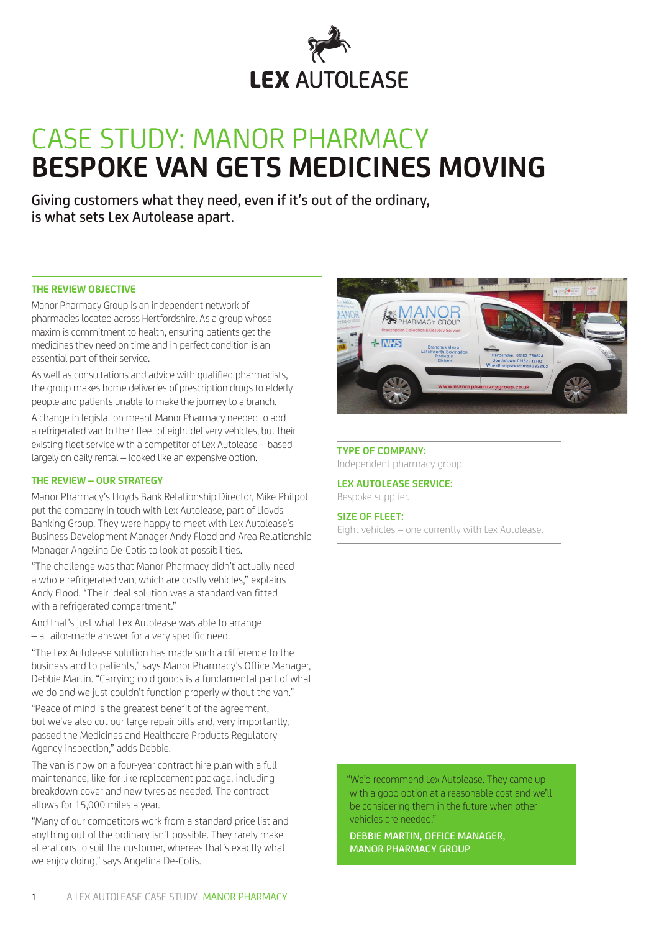

# CASE STUDY: MANOR PHARMACY **BESPOKE VAN GETS MEDICINES MOVING**

Giving customers what they need, even if it's out of the ordinary, is what sets Lex Autolease apart.

#### **THE REVIEW OBJECTIVE**

Manor Pharmacy Group is an independent network of pharmacies located across Hertfordshire. As a group whose maxim is commitment to health, ensuring patients get the medicines they need on time and in perfect condition is an essential part of their service.

As well as consultations and advice with qualified pharmacists, the group makes home deliveries of prescription drugs to elderly people and patients unable to make the journey to a branch.

A change in legislation meant Manor Pharmacy needed to add a refrigerated van to their fleet of eight delivery vehicles, but their existing fleet service with a competitor of Lex Autolease – based largely on daily rental – looked like an expensive option.

## **THE REVIEW – OUR STRATEGY**

Manor Pharmacy's Lloyds Bank Relationship Director, Mike Philpot put the company in touch with Lex Autolease, part of Lloyds Banking Group. They were happy to meet with Lex Autolease's Business Development Manager Andy Flood and Area Relationship Manager Angelina De-Cotis to look at possibilities.

"The challenge was that Manor Pharmacy didn't actually need a whole refrigerated van, which are costly vehicles," explains Andy Flood. "Their ideal solution was a standard van fitted with a refrigerated compartment."

And that's just what Lex Autolease was able to arrange – a tailor-made answer for a very specific need.

"The Lex Autolease solution has made such a difference to the business and to patients," says Manor Pharmacy's Office Manager, Debbie Martin. "Carrying cold goods is a fundamental part of what we do and we just couldn't function properly without the van."

"Peace of mind is the greatest benefit of the agreement, but we've also cut our large repair bills and, very importantly, passed the Medicines and Healthcare Products Regulatory Agency inspection," adds Debbie.

The van is now on a four-year contract hire plan with a full maintenance, like-for-like replacement package, including breakdown cover and new tyres as needed. The contract allows for 15,000 miles a year.

"Many of our competitors work from a standard price list and anything out of the ordinary isn't possible. They rarely make alterations to suit the customer, whereas that's exactly what we enjoy doing," says Angelina De-Cotis.



#### **TYPE OF COMPANY:**

Independent pharmacy group.

**LEX AUTOLEASE SERVICE:**

Bespoke supplier.

### **SIZE OF FLEET:**

Eight vehicles – one currently with Lex Autolease.

"We'd recommend Lex Autolease. They came up with a good option at a reasonable cost and we'll be considering them in the future when other vehicles are needed."

DEBBIE MARTIN, OFFICE MANAGER, MANOR PHARMACY GROUP